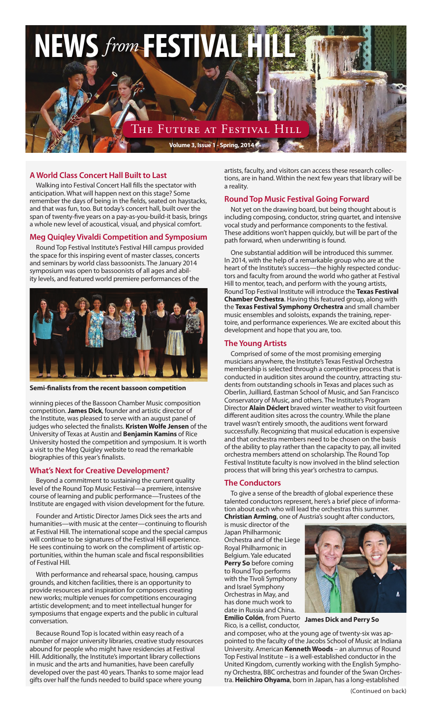

# **A World Class Concert Hall Built to Last**

Walking into Festival Concert Hall fills the spectator with anticipation. What will happen next on this stage? Some remember the days of being in the fields, seated on haystacks, and that was fun, too. But today's concert hall, built over the span of twenty-five years on a pay-as-you-build-it basis, brings a whole new level of acoustical, visual, and physical comfort.

#### **Meg Quiqley Vivaldi Competition and Symposium**

Round Top Festival Institute's Festival Hill campus provided the space for this inspiring event of master classes, concerts and seminars by world class bassoonists. The January 2014 symposium was open to bassoonists of all ages and ability levels, and featured world premiere performances of the



**Semi-finalists from the recent bassoon competition**

winning pieces of the Bassoon Chamber Music composition competition. **James Dick**, founder and artistic director of the Institute, was pleased to serve with an august panel of judges who selected the finalists. **Kristen Wolfe Jensen** of the University of Texas at Austin and **Benjamin Kamins** of Rice University hosted the competition and symposium. It is worth a visit to the Meg Quigley website to read the remarkable biographies of this year's finalists.

#### **What's Next for Creative Development?**

Beyond a commitment to sustaining the current quality level of the Round Top Music Festival—a premiere, intensive course of learning and public performance—Trustees of the Institute are engaged with vision development for the future.

Founder and Artistic Director James Dick sees the arts and humanities—with music at the center—continuing to flourish at Festival Hill. The international scope and the special campus will continue to be signatures of the Festival Hill experience. He sees continuing to work on the compliment of artistic opportunities, within the human scale and fiscal responsibilities of Festival Hill.

With performance and rehearsal space, housing, campus grounds, and kitchen facilities, there is an opportunity to provide resources and inspiration for composers creating new works; multiple venues for competitions encouraging artistic development; and to meet intellectual hunger for symposiums that engage experts and the public in cultural conversation.

Because Round Top is located within easy reach of a number of major university libraries, creative study resources abound for people who might have residencies at Festival Hill. Additionally, the Institute's important library collections in music and the arts and humanities, have been carefully developed over the past 40 years. Thanks to some major lead gifts over half the funds needed to build space where young

artists, faculty, and visitors can access these research collections, are in hand. Within the next few years that library will be a reality.

#### **Round Top Music Festival Going Forward**

Not yet on the drawing board, but being thought about is including composing, conductor, string quartet, and intensive vocal study and performance components to the festival. These additions won't happen quickly, but will be part of the path forward, when underwriting is found.

One substantial addition will be introduced this summer. In 2014, with the help of a remarkable group who are at the heart of the Institute's success—the highly respected conductors and faculty from around the world who gather at Festival Hill to mentor, teach, and perform with the young artists, Round Top Festival Institute will introduce the **Texas Festival Chamber Orchestra**. Having this featured group, along with the **Texas Festival Symphony Orchestra** and small chamber music ensembles and soloists, expands the training, repertoire, and performance experiences. We are excited about this development and hope that you are, too.

#### **The Young Artists**

Comprised of some of the most promising emerging musicians anywhere, the Institute's Texas Festival Orchestra membership is selected through a competitive process that is conducted in audition sites around the country, attracting students from outstanding schools in Texas and places such as Oberlin, Juilliard, Eastman School of Music, and San Francisco Conservatory of Music, and others. The Institute's Program Director **Alain Déclert** braved winter weather to visit fourteen different audition sites across the country. While the plane travel wasn't entirely smooth, the auditions went forward successfully. Recognizing that musical education is expensive and that orchestra members need to be chosen on the basis of the ability to play rather than the capacity to pay, all invited orchestra members attend on scholarship. The Round Top Festival Institute faculty is now involved in the blind selection process that will bring this year's orchestra to campus.

#### **The Conductors**

To give a sense of the breadth of global experience these talented conductors represent, here's a brief piece of information about each who will lead the orchestras this summer. **Christian Arming**, one of Austria's sought after conductors,

is music director of the Japan Philharmonic Orchestra and of the Liege Royal Philharmonic in Belgium. Yale educated **Perry So** before coming to Round Top performs with the Tivoli Symphony and Israel Symphony Orchestras in May, and has done much work to date in Russia and China.



**Emilio Colón**, from Puerto **James Dick and Perry So**

Rico, is a cellist, conductor, and composer, who at the young age of twenty-six was appointed to the faculty of the Jacobs School of Music at Indiana University. American **Kenneth Woods** – an alumnus of Round Top Festival Institute – is a well-established conductor in the United Kingdom, currently working with the English Symphony Orchestra, BBC orchestras and founder of the Swan Orchestra. **Heiichiro Ohyama**, born in Japan, has a long-established